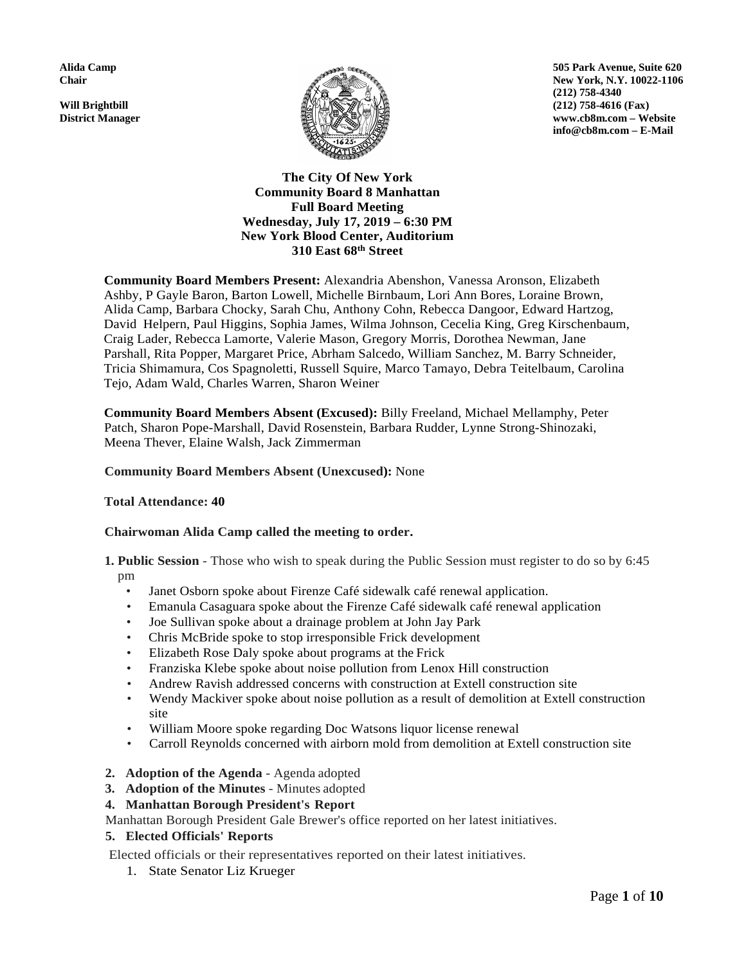

**Alida Camp 505 Park Avenue, Suite 620 Chair** New York, N.Y. 10022-1106 **(212) 758-4340 District Manager www.cb8m.com – Website info@cb8m.com – E-Mail**

# **The City Of New York Community Board 8 Manhattan Full Board Meeting Wednesday, July 17, 2019 – 6:30 PM New York Blood Center, Auditorium 310 East 68th Street**

**Community Board Members Present:** Alexandria Abenshon, Vanessa Aronson, Elizabeth Ashby, P Gayle Baron, Barton Lowell, Michelle Birnbaum, Lori Ann Bores, Loraine Brown, Alida Camp, Barbara Chocky, Sarah Chu, Anthony Cohn, Rebecca Dangoor, Edward Hartzog, David Helpern, Paul Higgins, Sophia James, Wilma Johnson, Cecelia King, Greg Kirschenbaum, Craig Lader, Rebecca Lamorte, Valerie Mason, Gregory Morris, Dorothea Newman, Jane Parshall, Rita Popper, Margaret Price, Abrham Salcedo, William Sanchez, M. Barry Schneider, Tricia Shimamura, Cos Spagnoletti, Russell Squire, Marco Tamayo, Debra Teitelbaum, Carolina Tejo, Adam Wald, Charles Warren, Sharon Weiner

**Community Board Members Absent (Excused):** Billy Freeland, Michael Mellamphy, Peter Patch, Sharon Pope-Marshall, David Rosenstein, Barbara Rudder, Lynne Strong-Shinozaki, Meena Thever, Elaine Walsh, Jack Zimmerman

## **Community Board Members Absent (Unexcused):** None

## **Total Attendance: 40**

## **Chairwoman Alida Camp called the meeting to order.**

- **1. Public Session**  Those who wish to speak during the Public Session must register to do so by 6:45 pm
	- Janet Osborn spoke about Firenze Café sidewalk café renewal application.
	- Emanula Casaguara spoke about the Firenze Café sidewalk café renewal application
	- Joe Sullivan spoke about a drainage problem at John Jay Park
	- Chris McBride spoke to stop irresponsible Frick development
	- Elizabeth Rose Daly spoke about programs at the Frick
	- Franziska Klebe spoke about noise pollution from Lenox Hill construction
	- Andrew Ravish addressed concerns with construction at Extell construction site
	- Wendy Mackiver spoke about noise pollution as a result of demolition at Extell construction site
	- William Moore spoke regarding Doc Watsons liquor license renewal
	- Carroll Reynolds concerned with airborn mold from demolition at Extell construction site
- **2. Adoption of the Agenda**  Agenda adopted
- **3. Adoption of the Minutes**  Minutes adopted

## **4. Manhattan Borough President's Report**

Manhattan Borough President Gale Brewer's office reported on her latest initiatives.

# **5. Elected Officials' Reports**

Elected officials or their representatives reported on their latest initiatives.

1. State Senator Liz Krueger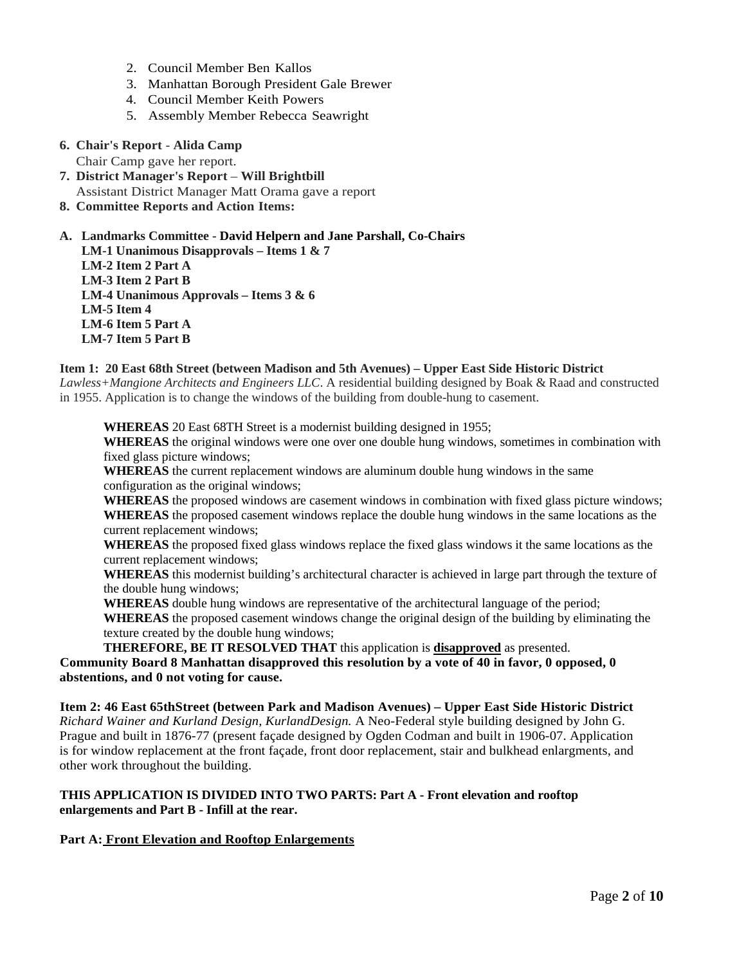- 2. Council Member Ben Kallos
- 3. Manhattan Borough President Gale Brewer
- 4. Council Member Keith Powers
- 5. Assembly Member Rebecca Seawright
- **6. Chair's Report Alida Camp**

Chair Camp gave her report.

- **7. District Manager's Report Will Brightbill** Assistant District Manager Matt Orama gave a report
- **8. Committee Reports and Action Items:**

# **A. Landmarks Committee - David Helpern and Jane Parshall, Co-Chairs**

**LM-1 Unanimous Disapprovals – Items 1 & 7 LM-2 Item 2 Part A LM-3 Item 2 Part B LM-4 Unanimous Approvals – Items 3 & 6 LM-5 Item 4 LM-6 Item 5 Part A LM-7 Item 5 Part B**

## **Item 1: 20 East 68th Street (between Madison and 5th Avenues) – Upper East Side Historic District**

*Lawless+Mangione Architects and Engineers LLC*. A residential building designed by Boak & Raad and constructed in 1955. Application is to change the windows of the building from double-hung to casement.

**WHEREAS** 20 East 68TH Street is a modernist building designed in 1955; **WHEREAS** the original windows were one over one double hung windows, sometimes in combination with fixed glass picture windows;

**WHEREAS** the current replacement windows are aluminum double hung windows in the same configuration as the original windows;

**WHEREAS** the proposed windows are casement windows in combination with fixed glass picture windows; **WHEREAS** the proposed casement windows replace the double hung windows in the same locations as the current replacement windows;

**WHEREAS** the proposed fixed glass windows replace the fixed glass windows it the same locations as the current replacement windows;

**WHEREAS** this modernist building's architectural character is achieved in large part through the texture of the double hung windows;

**WHEREAS** double hung windows are representative of the architectural language of the period; **WHEREAS** the proposed casement windows change the original design of the building by eliminating the texture created by the double hung windows;

**THEREFORE, BE IT RESOLVED THAT** this application is **disapproved** as presented.

**Community Board 8 Manhattan disapproved this resolution by a vote of 40 in favor, 0 opposed, 0 abstentions, and 0 not voting for cause.**

**Item 2: 46 East 65thStreet (between Park and Madison Avenues) – Upper East Side Historic District**  *Richard Wainer and Kurland Design, KurlandDesign.* A Neo-Federal style building designed by John G. Prague and built in 1876-77 (present façade designed by Ogden Codman and built in 1906-07. Application is for window replacement at the front façade, front door replacement, stair and bulkhead enlargments, and other work throughout the building.

## **THIS APPLICATION IS DIVIDED INTO TWO PARTS: Part A - Front elevation and rooftop enlargements and Part B - Infill at the rear.**

## **Part A: Front Elevation and Rooftop Enlargements**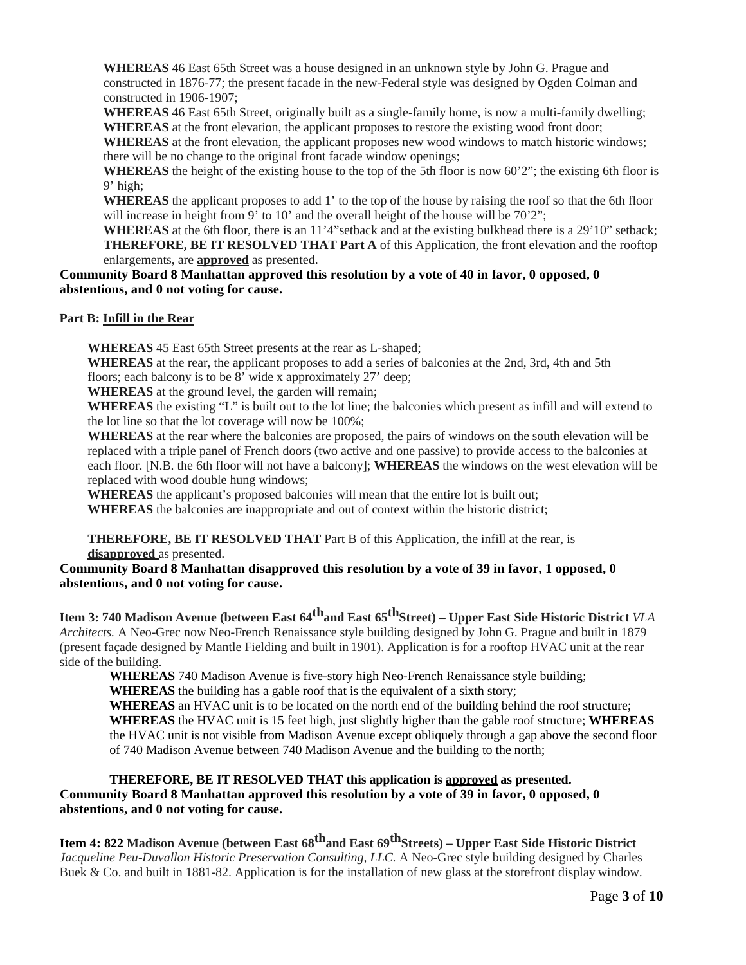**WHEREAS** 46 East 65th Street was a house designed in an unknown style by John G. Prague and constructed in 1876-77; the present facade in the new-Federal style was designed by Ogden Colman and constructed in 1906-1907;

**WHEREAS** 46 East 65th Street, originally built as a single-family home, is now a multi-family dwelling; **WHEREAS** at the front elevation, the applicant proposes to restore the existing wood front door;

**WHEREAS** at the front elevation, the applicant proposes new wood windows to match historic windows; there will be no change to the original front facade window openings;

**WHEREAS** the height of the existing house to the top of the 5th floor is now 60'2"; the existing 6th floor is 9' high;

**WHEREAS** the applicant proposes to add 1' to the top of the house by raising the roof so that the 6th floor will increase in height from 9' to 10' and the overall height of the house will be 70'2";

**WHEREAS** at the 6th floor, there is an 11'4"setback and at the existing bulkhead there is a 29'10" setback; **THEREFORE, BE IT RESOLVED THAT Part A** of this Application, the front elevation and the rooftop enlargements, are **approved** as presented.

**Community Board 8 Manhattan approved this resolution by a vote of 40 in favor, 0 opposed, 0 abstentions, and 0 not voting for cause.**

**Part B: Infill in the Rear**

**WHEREAS** 45 East 65th Street presents at the rear as L-shaped;

**WHEREAS** at the rear, the applicant proposes to add a series of balconies at the 2nd, 3rd, 4th and 5th floors; each balcony is to be 8' wide x approximately 27' deep;

**WHEREAS** at the ground level, the garden will remain;

**WHEREAS** the existing "L" is built out to the lot line; the balconies which present as infill and will extend to the lot line so that the lot coverage will now be 100%;

**WHEREAS** at the rear where the balconies are proposed, the pairs of windows on the south elevation will be replaced with a triple panel of French doors (two active and one passive) to provide access to the balconies at each floor. [N.B. the 6th floor will not have a balcony]; **WHEREAS** the windows on the west elevation will be replaced with wood double hung windows;

**WHEREAS** the applicant's proposed balconies will mean that the entire lot is built out;

**WHEREAS** the balconies are inappropriate and out of context within the historic district;

**THEREFORE, BE IT RESOLVED THAT** Part B of this Application, the infill at the rear, is **disapproved** as presented.

**Community Board 8 Manhattan disapproved this resolution by a vote of 39 in favor, 1 opposed, 0 abstentions, and 0 not voting for cause.**

**Item 3: 740 Madison Avenue (between East 64<sup>th</sup>and East 65<sup>th</sup>Street) – Upper East Side Historic District** *VLA Architects.* A Neo-Grec now Neo-French Renaissance style building designed by John G. Prague and built in 1879 (present façade designed by Mantle Fielding and built in 1901). Application is for a rooftop HVAC unit at the rear side of the building.

**WHEREAS** 740 Madison Avenue is five-story high Neo-French Renaissance style building; **WHEREAS** the building has a gable roof that is the equivalent of a sixth story; **WHEREAS** an HVAC unit is to be located on the north end of the building behind the roof structure; **WHEREAS** the HVAC unit is 15 feet high, just slightly higher than the gable roof structure; **WHEREAS**  the HVAC unit is not visible from Madison Avenue except obliquely through a gap above the second floor of 740 Madison Avenue between 740 Madison Avenue and the building to the north;

**THEREFORE, BE IT RESOLVED THAT this application is approved as presented. Community Board 8 Manhattan approved this resolution by a vote of 39 in favor, 0 opposed, 0 abstentions, and 0 not voting for cause.**

**Item 4: 822 Madison Avenue (between East 68thand East 69thStreets) – Upper East Side Historic District** *Jacqueline Peu-Duvallon Historic Preservation Consulting, LLC.* A Neo-Grec style building designed by Charles Buek & Co. and built in 1881-82. Application is for the installation of new glass at the storefront display window.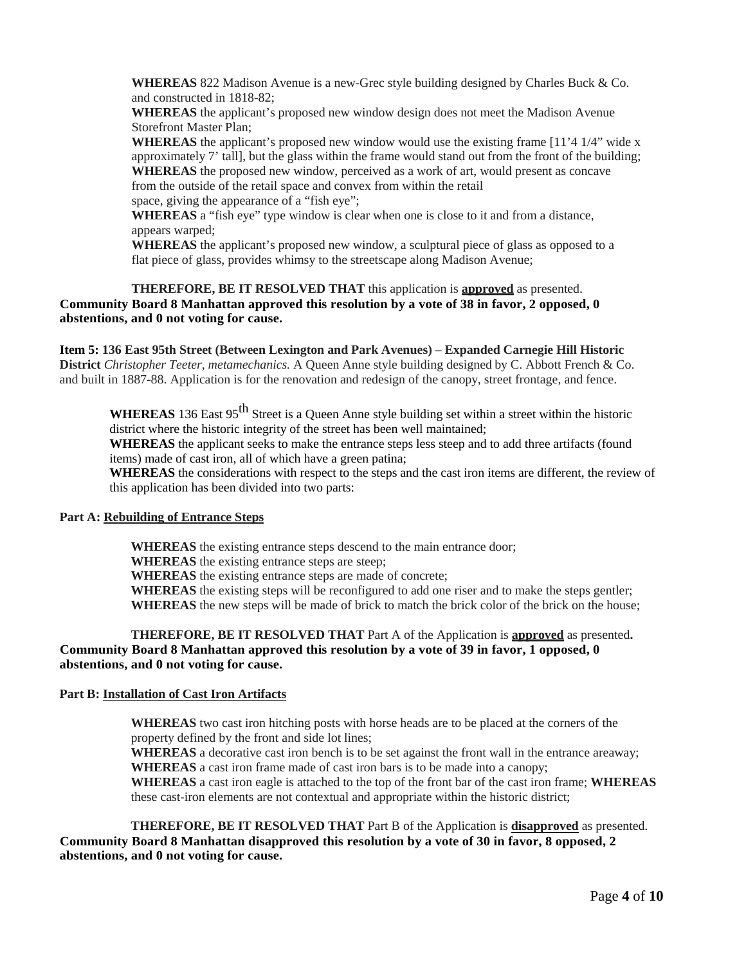**WHEREAS** 822 Madison Avenue is a new-Grec style building designed by Charles Buck & Co. and constructed in 1818-82;

**WHEREAS** the applicant's proposed new window design does not meet the Madison Avenue Storefront Master Plan;

**WHEREAS** the applicant's proposed new window would use the existing frame  $[11'4 1/4"$  wide x approximately 7' tall], but the glass within the frame would stand out from the front of the building; **WHEREAS** the proposed new window, perceived as a work of art, would present as concave from the outside of the retail space and convex from within the retail space, giving the appearance of a "fish eye";

**WHEREAS** a "fish eye" type window is clear when one is close to it and from a distance,

appears warped; **WHEREAS** the applicant's proposed new window, a sculptural piece of glass as opposed to a flat piece of glass, provides whimsy to the streetscape along Madison Avenue;

## **THEREFORE, BE IT RESOLVED THAT** this application is **approved** as presented. **Community Board 8 Manhattan approved this resolution by a vote of 38 in favor, 2 opposed, 0 abstentions, and 0 not voting for cause.**

**Item 5: 136 East 95th Street (Between Lexington and Park Avenues) – Expanded Carnegie Hill Historic District** *Christopher Teeter, metamechanics.* A Queen Anne style building designed by C. Abbott French & Co. and built in 1887-88. Application is for the renovation and redesign of the canopy, street frontage, and fence.

**WHEREAS** 136 East 95<sup>th</sup> Street is a Queen Anne style building set within a street within the historic district where the historic integrity of the street has been well maintained;

**WHEREAS** the applicant seeks to make the entrance steps less steep and to add three artifacts (found items) made of cast iron, all of which have a green patina;

**WHEREAS** the considerations with respect to the steps and the cast iron items are different, the review of this application has been divided into two parts:

## **Part A: Rebuilding of Entrance Steps**

**WHEREAS** the existing entrance steps descend to the main entrance door;

**WHEREAS** the existing entrance steps are steep;

**WHEREAS** the existing entrance steps are made of concrete;

**WHEREAS** the existing steps will be reconfigured to add one riser and to make the steps gentler; **WHEREAS** the new steps will be made of brick to match the brick color of the brick on the house;

**THEREFORE, BE IT RESOLVED THAT** Part A of the Application is **approved** as presented**. Community Board 8 Manhattan approved this resolution by a vote of 39 in favor, 1 opposed, 0 abstentions, and 0 not voting for cause.**

# **Part B: Installation of Cast Iron Artifacts**

**WHEREAS** two cast iron hitching posts with horse heads are to be placed at the corners of the property defined by the front and side lot lines;

**WHEREAS** a decorative cast iron bench is to be set against the front wall in the entrance areaway; **WHEREAS** a cast iron frame made of cast iron bars is to be made into a canopy;

**WHEREAS** a cast iron eagle is attached to the top of the front bar of the cast iron frame; **WHEREAS**  these cast-iron elements are not contextual and appropriate within the historic district;

**THEREFORE, BE IT RESOLVED THAT** Part B of the Application is **disapproved** as presented. **Community Board 8 Manhattan disapproved this resolution by a vote of 30 in favor, 8 opposed, 2 abstentions, and 0 not voting for cause.**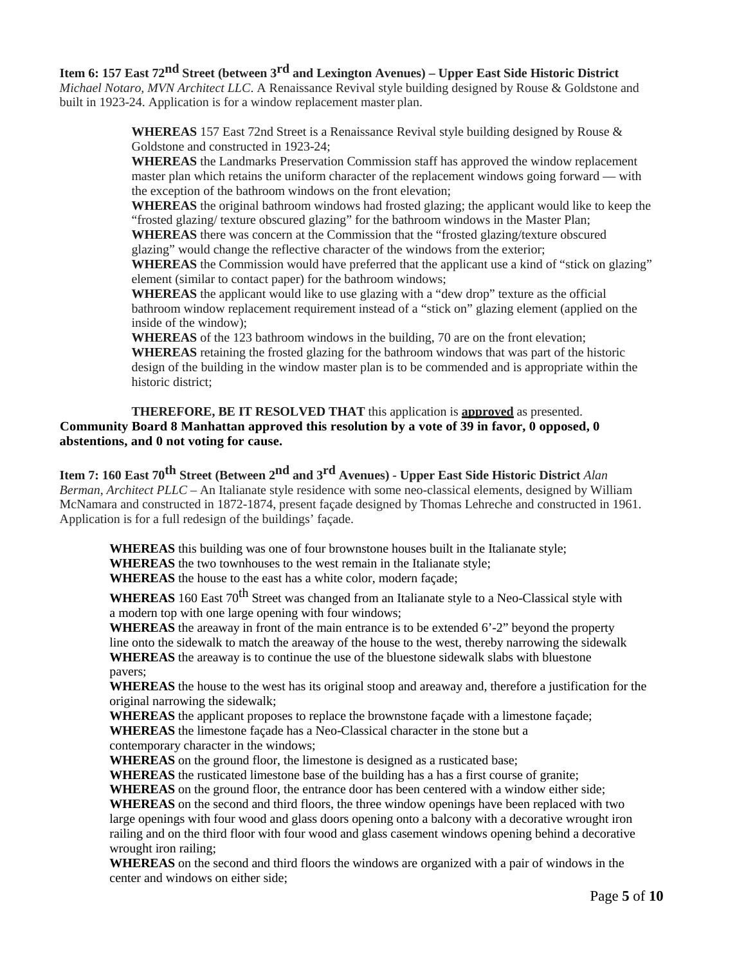**Item 6: 157 East 72nd Street (between 3rd and Lexington Avenues) – Upper East Side Historic District**  *Michael Notaro, MVN Architect LLC*. A Renaissance Revival style building designed by Rouse & Goldstone and built in 1923-24. Application is for a window replacement master plan.

> **WHEREAS** 157 East 72nd Street is a Renaissance Revival style building designed by Rouse & Goldstone and constructed in 1923-24;

**WHEREAS** the Landmarks Preservation Commission staff has approved the window replacement master plan which retains the uniform character of the replacement windows going forward — with the exception of the bathroom windows on the front elevation;

**WHEREAS** the original bathroom windows had frosted glazing; the applicant would like to keep the "frosted glazing/ texture obscured glazing" for the bathroom windows in the Master Plan;

**WHEREAS** there was concern at the Commission that the "frosted glazing/texture obscured glazing" would change the reflective character of the windows from the exterior;

**WHEREAS** the Commission would have preferred that the applicant use a kind of "stick on glazing" element (similar to contact paper) for the bathroom windows;

**WHEREAS** the applicant would like to use glazing with a "dew drop" texture as the official bathroom window replacement requirement instead of a "stick on" glazing element (applied on the inside of the window);

**WHEREAS** of the 123 bathroom windows in the building, 70 are on the front elevation; **WHEREAS** retaining the frosted glazing for the bathroom windows that was part of the historic design of the building in the window master plan is to be commended and is appropriate within the historic district;

# **THEREFORE, BE IT RESOLVED THAT** this application is **approved** as presented. **Community Board 8 Manhattan approved this resolution by a vote of 39 in favor, 0 opposed, 0 abstentions, and 0 not voting for cause.**

**Item 7: 160 East 70th Street (Between 2nd and 3rd Avenues) - Upper East Side Historic District** *Alan Berman, Architect PLLC* – An Italianate style residence with some neo-classical elements, designed by William McNamara and constructed in 1872-1874, present façade designed by Thomas Lehreche and constructed in 1961. Application is for a full redesign of the buildings' façade.

**WHEREAS** this building was one of four brownstone houses built in the Italianate style; **WHEREAS** the two townhouses to the west remain in the Italianate style; **WHEREAS** the house to the east has a white color, modern façade;

**WHEREAS** 160 East 70<sup>th</sup> Street was changed from an Italianate style to a Neo-Classical style with a modern top with one large opening with four windows;

**WHEREAS** the areaway in front of the main entrance is to be extended 6'-2" beyond the property line onto the sidewalk to match the areaway of the house to the west, thereby narrowing the sidewalk **WHEREAS** the areaway is to continue the use of the bluestone sidewalk slabs with bluestone pavers;

**WHEREAS** the house to the west has its original stoop and areaway and, therefore a justification for the original narrowing the sidewalk;

**WHEREAS** the applicant proposes to replace the brownstone façade with a limestone façade; **WHEREAS** the limestone façade has a Neo-Classical character in the stone but a contemporary character in the windows;

**WHEREAS** on the ground floor, the limestone is designed as a rusticated base;

**WHEREAS** the rusticated limestone base of the building has a has a first course of granite;

**WHEREAS** on the ground floor, the entrance door has been centered with a window either side; **WHEREAS** on the second and third floors, the three window openings have been replaced with two

large openings with four wood and glass doors opening onto a balcony with a decorative wrought iron railing and on the third floor with four wood and glass casement windows opening behind a decorative wrought iron railing;

**WHEREAS** on the second and third floors the windows are organized with a pair of windows in the center and windows on either side;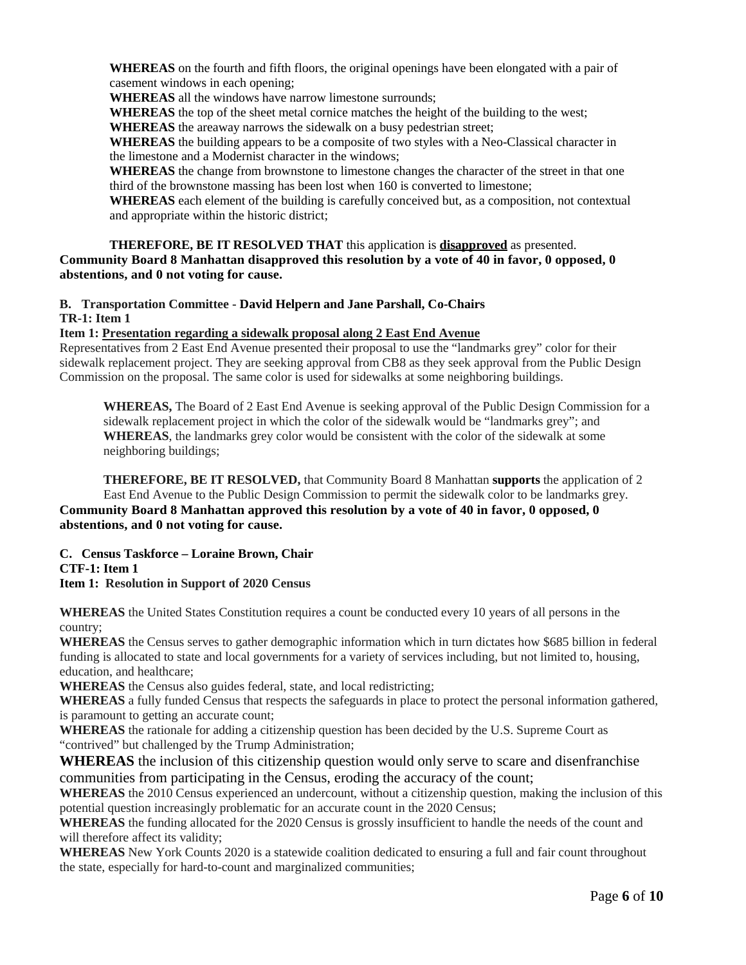**WHEREAS** on the fourth and fifth floors, the original openings have been elongated with a pair of casement windows in each opening;

**WHEREAS** all the windows have narrow limestone surrounds;

**WHEREAS** the top of the sheet metal cornice matches the height of the building to the west;

**WHEREAS** the areaway narrows the sidewalk on a busy pedestrian street;

**WHEREAS** the building appears to be a composite of two styles with a Neo-Classical character in the limestone and a Modernist character in the windows;

**WHEREAS** the change from brownstone to limestone changes the character of the street in that one third of the brownstone massing has been lost when 160 is converted to limestone;

**WHEREAS** each element of the building is carefully conceived but, as a composition, not contextual and appropriate within the historic district;

## **THEREFORE, BE IT RESOLVED THAT** this application is **disapproved** as presented.

**Community Board 8 Manhattan disapproved this resolution by a vote of 40 in favor, 0 opposed, 0 abstentions, and 0 not voting for cause.**

## **B. Transportation Committee - David Helpern and Jane Parshall, Co-Chairs TR-1: Item 1**

## **Item 1: Presentation regarding a sidewalk proposal along 2 East End Avenue**

Representatives from 2 East End Avenue presented their proposal to use the "landmarks grey" color for their sidewalk replacement project. They are seeking approval from CB8 as they seek approval from the Public Design Commission on the proposal. The same color is used for sidewalks at some neighboring buildings.

**WHEREAS,** The Board of 2 East End Avenue is seeking approval of the Public Design Commission for a sidewalk replacement project in which the color of the sidewalk would be "landmarks grey"; and **WHEREAS**, the landmarks grey color would be consistent with the color of the sidewalk at some neighboring buildings;

**THEREFORE, BE IT RESOLVED,** that Community Board 8 Manhattan **supports** the application of 2 East End Avenue to the Public Design Commission to permit the sidewalk color to be landmarks grey. **Community Board 8 Manhattan approved this resolution by a vote of 40 in favor, 0 opposed, 0 abstentions, and 0 not voting for cause.**

# **C. Census Taskforce – Loraine Brown, Chair CTF-1: Item 1**

**Item 1: Resolution in Support of 2020 Census**

**WHEREAS** the United States Constitution requires a count be conducted every 10 years of all persons in the country;

**WHEREAS** the Census serves to gather demographic information which in turn dictates how \$685 billion in federal funding is allocated to state and local governments for a variety of services including, but not limited to, housing, education, and healthcare;

**WHEREAS** the Census also guides federal, state, and local redistricting;

**WHEREAS** a fully funded Census that respects the safeguards in place to protect the personal information gathered, is paramount to getting an accurate count;

**WHEREAS** the rationale for adding a citizenship question has been decided by the U.S. Supreme Court as "contrived" but challenged by the Trump Administration;

**WHEREAS** the inclusion of this citizenship question would only serve to scare and disenfranchise communities from participating in the Census, eroding the accuracy of the count;

**WHEREAS** the 2010 Census experienced an undercount, without a citizenship question, making the inclusion of this potential question increasingly problematic for an accurate count in the 2020 Census;

**WHEREAS** the funding allocated for the 2020 Census is grossly insufficient to handle the needs of the count and will therefore affect its validity;

**WHEREAS** New York Counts 2020 is a statewide coalition dedicated to ensuring a full and fair count throughout the state, especially for hard-to-count and marginalized communities;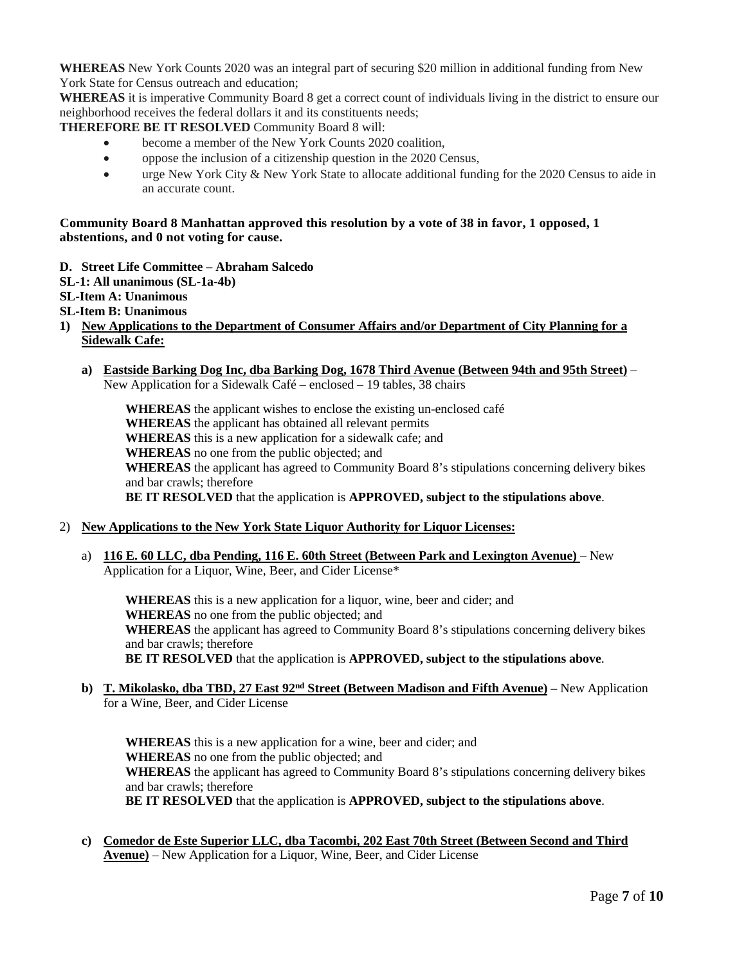**WHEREAS** New York Counts 2020 was an integral part of securing \$20 million in additional funding from New York State for Census outreach and education;

**WHEREAS** it is imperative Community Board 8 get a correct count of individuals living in the district to ensure our neighborhood receives the federal dollars it and its constituents needs;

**THEREFORE BE IT RESOLVED** Community Board 8 will:

- become a member of the New York Counts 2020 coalition.
- oppose the inclusion of a citizenship question in the 2020 Census,
- urge New York City & New York State to allocate additional funding for the 2020 Census to aide in an accurate count.

## **Community Board 8 Manhattan approved this resolution by a vote of 38 in favor, 1 opposed, 1 abstentions, and 0 not voting for cause.**

- **D. Street Life Committee – Abraham Salcedo**
- **SL-1: All unanimous (SL-1a-4b)**
- **SL-Item A: Unanimous**
- **SL-Item B: Unanimous**
- **1) New Applications to the Department of Consumer Affairs and/or Department of City Planning for a Sidewalk Cafe:**
	- **a) Eastside Barking Dog Inc, dba Barking Dog, 1678 Third Avenue (Between 94th and 95th Street)** New Application for a Sidewalk Café – enclosed – 19 tables, 38 chairs

**WHEREAS** the applicant wishes to enclose the existing un-enclosed café **WHEREAS** the applicant has obtained all relevant permits **WHEREAS** this is a new application for a sidewalk cafe; and **WHEREAS** no one from the public objected; and **WHEREAS** the applicant has agreed to Community Board 8's stipulations concerning delivery bikes and bar crawls; therefore **BE IT RESOLVED** that the application is **APPROVED, subject to the stipulations above**.

## 2) **New Applications to the New York State Liquor Authority for Liquor Licenses:**

a) **116 E. 60 LLC, dba Pending, 116 E. 60th Street (Between Park and Lexington Avenue)** – New Application for a Liquor, Wine, Beer, and Cider License\*

**WHEREAS** this is a new application for a liquor, wine, beer and cider; and **WHEREAS** no one from the public objected; and **WHEREAS** the applicant has agreed to Community Board 8's stipulations concerning delivery bikes and bar crawls; therefore **BE IT RESOLVED** that the application is **APPROVED, subject to the stipulations above**.

**b) T. Mikolasko, dba TBD, 27 East 92nd Street (Between Madison and Fifth Avenue)** – New Application for a Wine, Beer, and Cider License

**WHEREAS** this is a new application for a wine, beer and cider; and **WHEREAS** no one from the public objected; and **WHEREAS** the applicant has agreed to Community Board 8's stipulations concerning delivery bikes and bar crawls; therefore **BE IT RESOLVED** that the application is **APPROVED, subject to the stipulations above**.

**c) Comedor de Este Superior LLC, dba Tacombi, 202 East 70th Street (Between Second and Third Avenue)** – New Application for a Liquor, Wine, Beer, and Cider License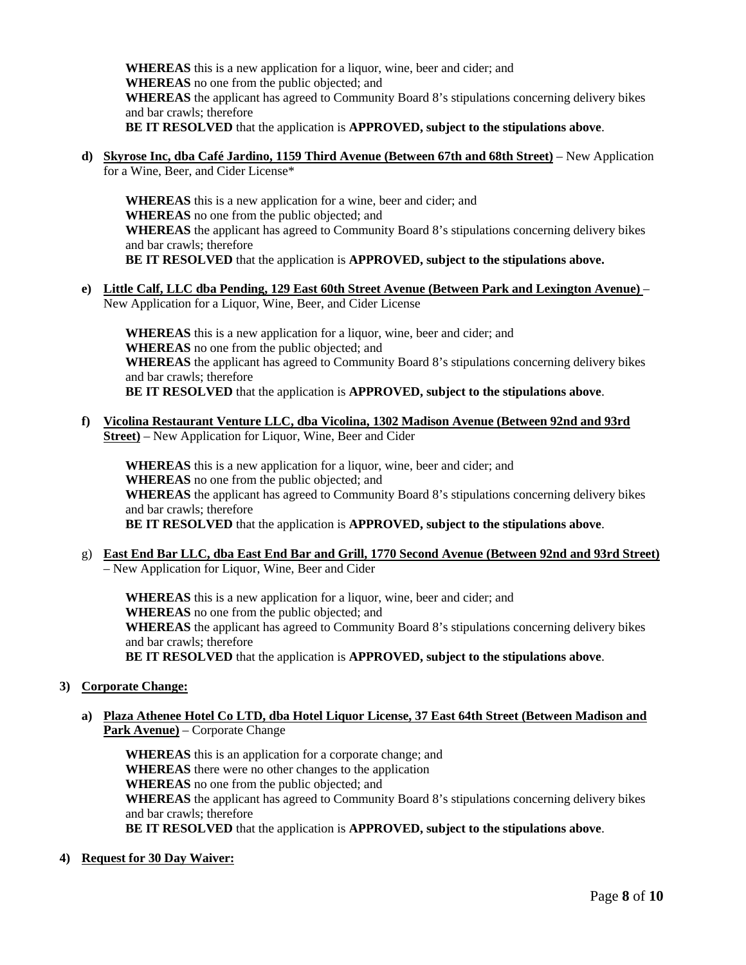**WHEREAS** this is a new application for a liquor, wine, beer and cider; and **WHEREAS** no one from the public objected; and **WHEREAS** the applicant has agreed to Community Board 8's stipulations concerning delivery bikes and bar crawls; therefore **BE IT RESOLVED** that the application is **APPROVED, subject to the stipulations above**.

**d) Skyrose Inc, dba Café Jardino, 1159 Third Avenue (Between 67th and 68th Street)** – New Application for a Wine, Beer, and Cider License\*

**WHEREAS** this is a new application for a wine, beer and cider; and **WHEREAS** no one from the public objected; and **WHEREAS** the applicant has agreed to Community Board 8's stipulations concerning delivery bikes and bar crawls; therefore **BE IT RESOLVED** that the application is **APPROVED, subject to the stipulations above.**

**e) Little Calf, LLC dba Pending, 129 East 60th Street Avenue (Between Park and Lexington Avenue)** – New Application for a Liquor, Wine, Beer, and Cider License

**WHEREAS** this is a new application for a liquor, wine, beer and cider; and **WHEREAS** no one from the public objected; and **WHEREAS** the applicant has agreed to Community Board 8's stipulations concerning delivery bikes and bar crawls; therefore **BE IT RESOLVED** that the application is **APPROVED, subject to the stipulations above**.

**f) Vicolina Restaurant Venture LLC, dba Vicolina, 1302 Madison Avenue (Between 92nd and 93rd Street)** – New Application for Liquor, Wine, Beer and Cider

**WHEREAS** this is a new application for a liquor, wine, beer and cider; and **WHEREAS** no one from the public objected; and **WHEREAS** the applicant has agreed to Community Board 8's stipulations concerning delivery bikes and bar crawls; therefore **BE IT RESOLVED** that the application is **APPROVED, subject to the stipulations above**.

g) **East End Bar LLC, dba East End Bar and Grill, 1770 Second Avenue (Between 92nd and 93rd Street)** – New Application for Liquor, Wine, Beer and Cider

**WHEREAS** this is a new application for a liquor, wine, beer and cider; and **WHEREAS** no one from the public objected; and **WHEREAS** the applicant has agreed to Community Board 8's stipulations concerning delivery bikes and bar crawls; therefore **BE IT RESOLVED** that the application is **APPROVED, subject to the stipulations above**.

- **3) Corporate Change:**
	- **a) Plaza Athenee Hotel Co LTD, dba Hotel Liquor License, 37 East 64th Street (Between Madison and Park Avenue)** – Corporate Change

**WHEREAS** this is an application for a corporate change; and **WHEREAS** there were no other changes to the application **WHEREAS** no one from the public objected; and **WHEREAS** the applicant has agreed to Community Board 8's stipulations concerning delivery bikes and bar crawls; therefore **BE IT RESOLVED** that the application is **APPROVED, subject to the stipulations above**.

**4) Request for 30 Day Waiver:**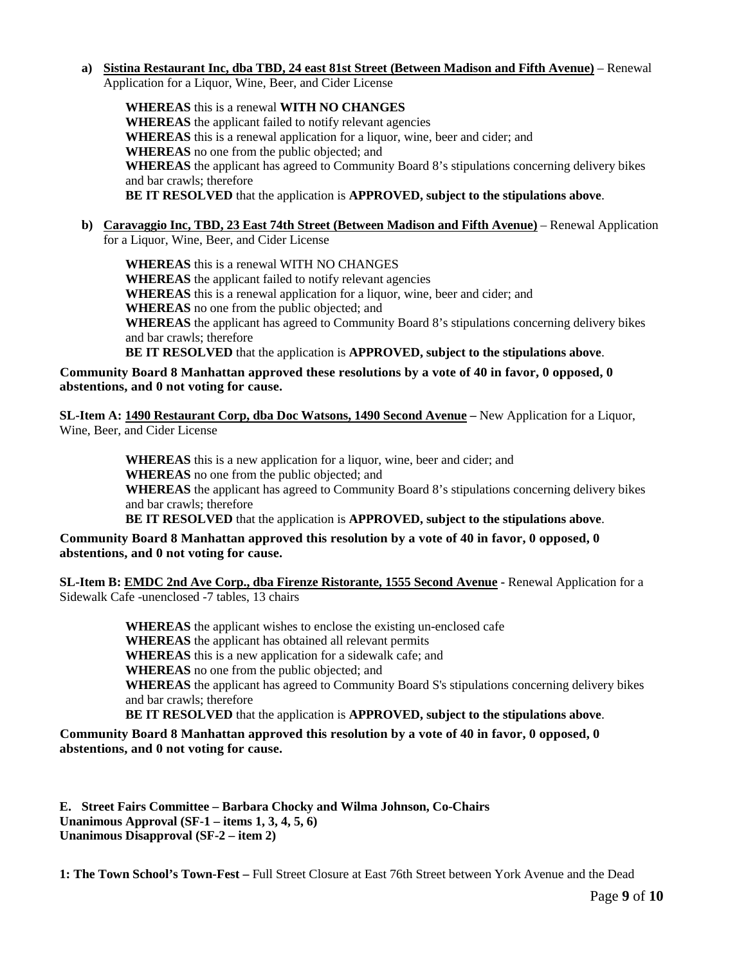## **a) Sistina Restaurant Inc, dba TBD, 24 east 81st Street (Between Madison and Fifth Avenue)** – Renewal Application for a Liquor, Wine, Beer, and Cider License

**WHEREAS** this is a renewal **WITH NO CHANGES WHEREAS** the applicant failed to notify relevant agencies **WHEREAS** this is a renewal application for a liquor, wine, beer and cider; and **WHEREAS** no one from the public objected; and **WHEREAS** the applicant has agreed to Community Board 8's stipulations concerning delivery bikes and bar crawls; therefore **BE IT RESOLVED** that the application is **APPROVED, subject to the stipulations above**.

## **b) Caravaggio Inc, TBD, 23 East 74th Street (Between Madison and Fifth Avenue)** – Renewal Application for a Liquor, Wine, Beer, and Cider License

**WHEREAS** this is a renewal WITH NO CHANGES **WHEREAS** the applicant failed to notify relevant agencies **WHEREAS** this is a renewal application for a liquor, wine, beer and cider; and **WHEREAS** no one from the public objected; and **WHEREAS** the applicant has agreed to Community Board 8's stipulations concerning delivery bikes and bar crawls; therefore **BE IT RESOLVED** that the application is **APPROVED, subject to the stipulations above**.

# **Community Board 8 Manhattan approved these resolutions by a vote of 40 in favor, 0 opposed, 0 abstentions, and 0 not voting for cause.**

**SL-Item A: 1490 Restaurant Corp, dba Doc Watsons, 1490 Second Avenue –** New Application for a Liquor, Wine, Beer, and Cider License

> **WHEREAS** this is a new application for a liquor, wine, beer and cider; and **WHEREAS** no one from the public objected; and **WHEREAS** the applicant has agreed to Community Board 8's stipulations concerning delivery bikes and bar crawls; therefore

**BE IT RESOLVED** that the application is **APPROVED, subject to the stipulations above**.

## **Community Board 8 Manhattan approved this resolution by a vote of 40 in favor, 0 opposed, 0 abstentions, and 0 not voting for cause.**

**SL-Item B: EMDC 2nd Ave Corp., dba Firenze Ristorante, 1555 Second Avenue -** Renewal Application for a Sidewalk Cafe -unenclosed -7 tables, 13 chairs

> **WHEREAS** the applicant wishes to enclose the existing un-enclosed cafe **WHEREAS** the applicant has obtained all relevant permits **WHEREAS** this is a new application for a sidewalk cafe; and **WHEREAS** no one from the public objected; and **WHEREAS** the applicant has agreed to Community Board S's stipulations concerning delivery bikes and bar crawls; therefore **BE IT RESOLVED** that the application is **APPROVED, subject to the stipulations above**.

**Community Board 8 Manhattan approved this resolution by a vote of 40 in favor, 0 opposed, 0 abstentions, and 0 not voting for cause.**

**E. Street Fairs Committee – Barbara Chocky and Wilma Johnson, Co-Chairs Unanimous Approval (SF-1 – items 1, 3, 4, 5, 6) Unanimous Disapproval (SF-2 – item 2)**

**1: The Town School's Town-Fest –** Full Street Closure at East 76th Street between York Avenue and the Dead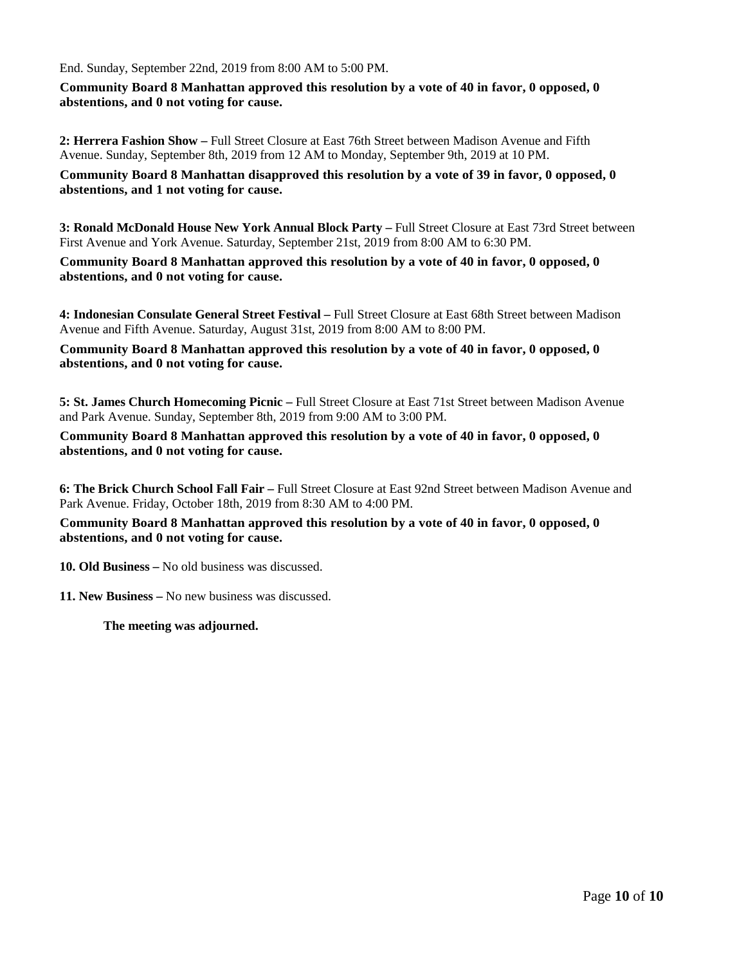End. Sunday, September 22nd, 2019 from 8:00 AM to 5:00 PM.

**Community Board 8 Manhattan approved this resolution by a vote of 40 in favor, 0 opposed, 0 abstentions, and 0 not voting for cause.**

**2: Herrera Fashion Show –** Full Street Closure at East 76th Street between Madison Avenue and Fifth Avenue. Sunday, September 8th, 2019 from 12 AM to Monday, September 9th, 2019 at 10 PM.

**Community Board 8 Manhattan disapproved this resolution by a vote of 39 in favor, 0 opposed, 0 abstentions, and 1 not voting for cause.**

**3: Ronald McDonald House New York Annual Block Party –** Full Street Closure at East 73rd Street between First Avenue and York Avenue. Saturday, September 21st, 2019 from 8:00 AM to 6:30 PM.

**Community Board 8 Manhattan approved this resolution by a vote of 40 in favor, 0 opposed, 0 abstentions, and 0 not voting for cause.**

**4: Indonesian Consulate General Street Festival –** Full Street Closure at East 68th Street between Madison Avenue and Fifth Avenue. Saturday, August 31st, 2019 from 8:00 AM to 8:00 PM.

**Community Board 8 Manhattan approved this resolution by a vote of 40 in favor, 0 opposed, 0 abstentions, and 0 not voting for cause.**

**5: St. James Church Homecoming Picnic –** Full Street Closure at East 71st Street between Madison Avenue and Park Avenue. Sunday, September 8th, 2019 from 9:00 AM to 3:00 PM.

**Community Board 8 Manhattan approved this resolution by a vote of 40 in favor, 0 opposed, 0 abstentions, and 0 not voting for cause.**

**6: The Brick Church School Fall Fair –** Full Street Closure at East 92nd Street between Madison Avenue and Park Avenue. Friday, October 18th, 2019 from 8:30 AM to 4:00 PM.

**Community Board 8 Manhattan approved this resolution by a vote of 40 in favor, 0 opposed, 0 abstentions, and 0 not voting for cause.**

**10. Old Business –** No old business was discussed.

**11. New Business –** No new business was discussed.

**The meeting was adjourned.**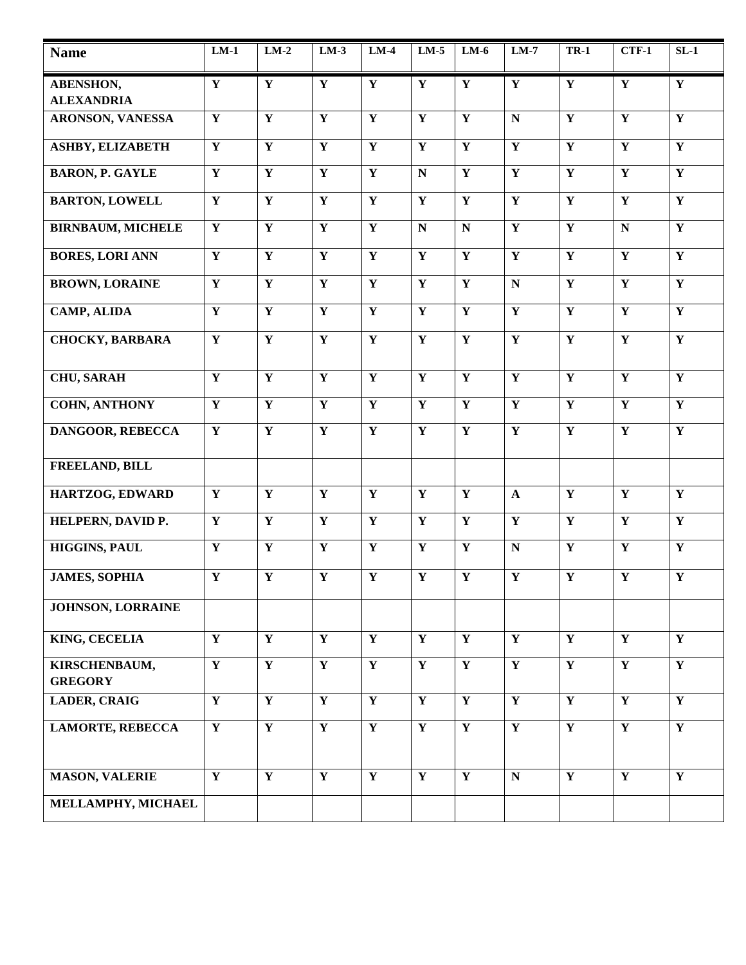| <b>Name</b>                     | $LM-1$                  | $LM-2$                  | $LM-3$                  | $LM-4$                  | $LM-5$                  | $LM-6$                  | $LM-7$                  | <b>TR-1</b>             | $CTF-1$                 | $SL-1$                  |
|---------------------------------|-------------------------|-------------------------|-------------------------|-------------------------|-------------------------|-------------------------|-------------------------|-------------------------|-------------------------|-------------------------|
| <b>ABENSHON,</b>                | $\mathbf Y$             | $\mathbf Y$             | Y                       | $\mathbf Y$             | $\mathbf Y$             | $\mathbf Y$             | $\mathbf Y$             | $\mathbf Y$             | $\mathbf Y$             | $\mathbf{Y}$            |
| <b>ALEXANDRIA</b>               |                         |                         |                         |                         |                         |                         |                         |                         |                         |                         |
| <b>ARONSON, VANESSA</b>         | $\mathbf Y$             | $\mathbf Y$             | $\mathbf Y$             | $\mathbf Y$             | $\overline{\mathbf{Y}}$ | $\mathbf Y$             | $\mathbf N$             | $\overline{\mathbf{Y}}$ | $\overline{\mathbf{Y}}$ | $\mathbf Y$             |
| <b>ASHBY, ELIZABETH</b>         | $\overline{\mathbf{Y}}$ | $\overline{\mathbf{Y}}$ | $\overline{\mathbf{Y}}$ | $\mathbf Y$             | $\overline{\mathbf{Y}}$ | Y                       | $\overline{\mathbf{Y}}$ | $\mathbf Y$             | $\mathbf Y$             | $\mathbf{Y}$            |
| <b>BARON, P. GAYLE</b>          | $\mathbf Y$             | Y                       | $\mathbf{Y}$            | $\mathbf Y$             | $\mathbf N$             | $\mathbf Y$             | $\mathbf{Y}$            | $\mathbf Y$             | $\mathbf Y$             | $\mathbf Y$             |
| <b>BARTON, LOWELL</b>           | $\overline{\mathbf{Y}}$ | $\overline{\mathbf{Y}}$ | $\overline{\mathbf{Y}}$ | $\mathbf Y$             | $\overline{\mathbf{Y}}$ | $\overline{\mathbf{Y}}$ | $\overline{\mathbf{Y}}$ | $\overline{\mathbf{Y}}$ | $\overline{\mathbf{Y}}$ | $\overline{\mathbf{Y}}$ |
| <b>BIRNBAUM, MICHELE</b>        | $\overline{\mathbf{Y}}$ | $\overline{\mathbf{Y}}$ | $\overline{\mathbf{Y}}$ | $\overline{\mathbf{Y}}$ | $\overline{\bf N}$      | ${\bf N}$               | $\overline{\mathbf{Y}}$ | $\overline{\mathbf{Y}}$ | $\overline{\mathbf{N}}$ | $\overline{\mathbf{Y}}$ |
| <b>BORES, LORI ANN</b>          | $\overline{\mathbf{Y}}$ | $\overline{Y}$          | $\overline{Y}$          | $\overline{\mathbf{Y}}$ | $\overline{\mathbf{Y}}$ | $\overline{\mathbf{Y}}$ | $\overline{\mathbf{Y}}$ | $\overline{\mathbf{Y}}$ | $\overline{\mathbf{Y}}$ | $\overline{\mathbf{Y}}$ |
| <b>BROWN, LORAINE</b>           | $\overline{\mathbf{Y}}$ | $\overline{Y}$          | $\overline{Y}$          | $\overline{\mathbf{Y}}$ | $\overline{\mathbf{Y}}$ | $\mathbf Y$             | $\overline{\bf N}$      | $\overline{\mathbf{Y}}$ | $\overline{\mathbf{Y}}$ | $\overline{\mathbf{Y}}$ |
| <b>CAMP, ALIDA</b>              | $\mathbf Y$             | $\mathbf Y$             | $\mathbf Y$             | $\mathbf Y$             | $\overline{\mathbf{Y}}$ | $\mathbf Y$             | $\mathbf Y$             | $\mathbf Y$             | $\mathbf Y$             | $\mathbf Y$             |
| <b>CHOCKY, BARBARA</b>          | $\overline{\mathbf{Y}}$ | $\overline{\mathbf{Y}}$ | $\overline{\mathbf{Y}}$ | $\mathbf Y$             | $\overline{\mathbf{Y}}$ | $\overline{\mathbf{Y}}$ | $\overline{\mathbf{Y}}$ | $\overline{\mathbf{Y}}$ | $\overline{\mathbf{Y}}$ | $\overline{\mathbf{Y}}$ |
| <b>CHU, SARAH</b>               | $\overline{\mathbf{Y}}$ | $\overline{\mathbf{Y}}$ | $\overline{Y}$          | $\mathbf Y$             | $\overline{\mathbf{Y}}$ | $\overline{\mathbf{Y}}$ | $\overline{\mathbf{Y}}$ | $\overline{\mathbf{Y}}$ | $\overline{Y}$          | $\overline{Y}$          |
| <b>COHN, ANTHONY</b>            | $\overline{\mathbf{Y}}$ | $\overline{\mathbf{Y}}$ | $\overline{\mathbf{Y}}$ | $\mathbf Y$             | $\overline{\mathbf{Y}}$ | $\overline{\mathbf{Y}}$ | $\overline{\mathbf{Y}}$ | $\overline{\mathbf{Y}}$ | $\overline{\mathbf{Y}}$ | $\overline{\mathbf{Y}}$ |
| DANGOOR, REBECCA                | $\mathbf Y$             | $\mathbf Y$             | Y                       | $\mathbf Y$             | $\mathbf Y$             | $\mathbf Y$             | $\mathbf Y$             | $\mathbf Y$             | $\mathbf Y$             | $\mathbf Y$             |
| FREELAND, BILL                  |                         |                         |                         |                         |                         |                         |                         |                         |                         |                         |
| HARTZOG, EDWARD                 | $\mathbf Y$             | $\mathbf Y$             | $\mathbf Y$             | $\mathbf Y$             | $\mathbf Y$             | $\mathbf Y$             | $\mathbf{A}$            | $\mathbf{Y}$            | $\mathbf{Y}$            | $\mathbf{Y}$            |
| HELPERN, DAVID P.               | $\overline{\mathbf{Y}}$ | $\overline{\mathbf{Y}}$ | $\overline{\mathbf{Y}}$ | $\mathbf Y$             | $\overline{\mathbf{Y}}$ | $\overline{\mathbf{Y}}$ | $\overline{\mathbf{Y}}$ | $\overline{\mathbf{Y}}$ | $\overline{\mathbf{Y}}$ | $\overline{\mathbf{Y}}$ |
| <b>HIGGINS, PAUL</b>            | $\overline{\mathbf{Y}}$ | $\overline{\mathbf{Y}}$ | $\overline{\mathbf{Y}}$ | $\mathbf Y$             | $\overline{\mathbf{Y}}$ | $\mathbf Y$             | ${\bf N}$               | $\overline{\mathbf{Y}}$ | $\overline{\mathbf{Y}}$ | $\overline{\mathbf{Y}}$ |
| <b>JAMES, SOPHIA</b>            | $\overline{\mathbf{Y}}$ | $\overline{\mathbf{Y}}$ | $\overline{\mathbf{Y}}$ | $\mathbf Y$             | $\overline{\mathbf{Y}}$ | $\mathbf Y$             | $\overline{\mathbf{Y}}$ | $\overline{\mathbf{Y}}$ | $\overline{\mathbf{Y}}$ | $\overline{\mathbf{Y}}$ |
| <b>JOHNSON, LORRAINE</b>        |                         |                         |                         |                         |                         |                         |                         |                         |                         |                         |
| <b>KING, CECELIA</b>            | $\overline{\mathbf{Y}}$ | $\overline{\mathbf{Y}}$ | $\overline{\mathbf{Y}}$ | $\overline{\mathbf{Y}}$ | $\overline{\mathbf{Y}}$ | $\overline{\mathbf{Y}}$ | $\overline{\mathbf{Y}}$ | $\overline{\mathbf{Y}}$ | $\overline{\mathbf{Y}}$ | $\overline{Y}$          |
| KIRSCHENBAUM,<br><b>GREGORY</b> | $\overline{\mathbf{Y}}$ | $\overline{\mathbf{Y}}$ | $\overline{\mathbf{Y}}$ | $\overline{\mathbf{Y}}$ | $\overline{\mathbf{Y}}$ | $\overline{\mathbf{Y}}$ | $\overline{\mathbf{Y}}$ | $\overline{\mathbf{Y}}$ | $\overline{\mathbf{Y}}$ | $\overline{\mathbf{Y}}$ |
| <b>LADER, CRAIG</b>             | $\overline{\mathbf{Y}}$ | $\overline{\mathbf{Y}}$ | $\overline{Y}$          | $\mathbf Y$             | $\overline{Y}$          | $\overline{Y}$          | $\overline{\mathbf{Y}}$ | $\overline{Y}$          | $\overline{\mathbf{Y}}$ | $\overline{Y}$          |
| <b>LAMORTE, REBECCA</b>         | $\overline{\mathbf{Y}}$ | $\overline{Y}$          | $\overline{\mathbf{Y}}$ | $\overline{\mathbf{Y}}$ | $\overline{\mathbf{Y}}$ | $\overline{\mathbf{Y}}$ | $\overline{\mathbf{Y}}$ | $\overline{\mathbf{Y}}$ | $\overline{\mathbf{Y}}$ | $\overline{\mathbf{Y}}$ |
| <b>MASON, VALERIE</b>           | $\overline{Y}$          | $\overline{\mathbf{Y}}$ | $\overline{\mathbf{Y}}$ | $\overline{\mathbf{Y}}$ | $\overline{\mathbf{Y}}$ | $\overline{\mathbf{Y}}$ | $\overline{\bf N}$      | $\overline{\mathbf{Y}}$ | $\overline{\mathbf{Y}}$ | $\overline{\mathbf{Y}}$ |
| MELLAMPHY, MICHAEL              |                         |                         |                         |                         |                         |                         |                         |                         |                         |                         |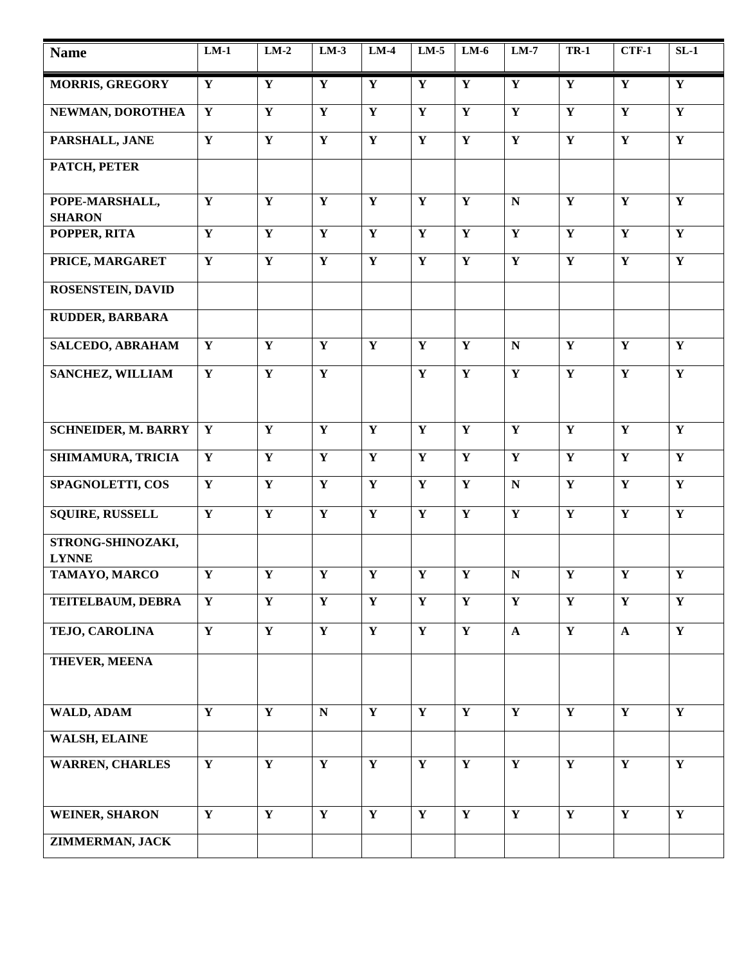| <b>Name</b>                       | $LM-1$                  | $LM-2$                  | $LM-3$                  | $LM-4$                  | $LM-5$                  | $LM-6$                  | $LM-7$                  | <b>TR-1</b>             | $CTF-1$                 | $SL-1$                  |
|-----------------------------------|-------------------------|-------------------------|-------------------------|-------------------------|-------------------------|-------------------------|-------------------------|-------------------------|-------------------------|-------------------------|
| <b>MORRIS, GREGORY</b>            | $\mathbf Y$             | $\mathbf Y$             | $\mathbf Y$             | $\mathbf Y$             | $\mathbf Y$             | $\mathbf Y$             | $\mathbf Y$             | $\mathbf Y$             | $\mathbf Y$             | $\mathbf Y$             |
| NEWMAN, DOROTHEA                  | $\mathbf Y$             | $\mathbf Y$             | $\overline{\mathbf{Y}}$ | $\mathbf Y$             | $\overline{\mathbf{Y}}$ | $\mathbf Y$             | $\overline{\mathbf{Y}}$ | $\overline{\mathbf{Y}}$ | $\overline{\mathbf{Y}}$ | $\overline{\mathbf{Y}}$ |
| PARSHALL, JANE                    | $\mathbf Y$             | ${\bf Y}$               | $\overline{\mathbf{Y}}$ | $\mathbf Y$             | $\mathbf Y$             | $\mathbf Y$             | ${\bf Y}$               | $\mathbf Y$             | $\mathbf Y$             | $\overline{\mathbf{Y}}$ |
| PATCH, PETER                      |                         |                         |                         |                         |                         |                         |                         |                         |                         |                         |
| POPE-MARSHALL,<br><b>SHARON</b>   | $\mathbf Y$             | $\mathbf Y$             | Y                       | $\mathbf Y$             | $\mathbf Y$             | $\mathbf Y$             | ${\bf N}$               | $\mathbf Y$             | $\mathbf Y$             | $\mathbf Y$             |
| POPPER, RITA                      | $\mathbf Y$             | ${\bf Y}$               | ${\bf Y}$               | $\mathbf Y$             | $\mathbf Y$             | $\mathbf Y$             | ${\bf Y}$               | $\mathbf Y$             | $\mathbf Y$             | ${\bf Y}$               |
| PRICE, MARGARET                   | $\mathbf Y$             | ${\bf Y}$               | ${\bf Y}$               | $\mathbf Y$             | $\mathbf Y$             | $\mathbf Y$             | $\mathbf Y$             | $\mathbf Y$             | $\mathbf Y$             | $\mathbf Y$             |
| <b>ROSENSTEIN, DAVID</b>          |                         |                         |                         |                         |                         |                         |                         |                         |                         |                         |
| <b>RUDDER, BARBARA</b>            |                         |                         |                         |                         |                         |                         |                         |                         |                         |                         |
| <b>SALCEDO, ABRAHAM</b>           | $\mathbf Y$             | $\overline{\mathbf{Y}}$ | $\overline{\mathbf{Y}}$ | $\mathbf Y$             | $\overline{\mathbf{Y}}$ | $\mathbf Y$             | ${\bf N}$               | $\overline{\mathbf{Y}}$ | $\overline{\mathbf{Y}}$ | $\overline{\mathbf{Y}}$ |
| <b>SANCHEZ, WILLIAM</b>           | $\mathbf Y$             | $\overline{\mathbf{Y}}$ | $\overline{\mathbf{Y}}$ |                         | $\mathbf Y$             | $\mathbf Y$             | $\overline{\mathbf{Y}}$ | $\overline{\mathbf{Y}}$ | $\overline{\mathbf{Y}}$ | $\overline{\mathbf{Y}}$ |
|                                   |                         |                         |                         |                         |                         |                         |                         |                         |                         |                         |
| <b>SCHNEIDER, M. BARRY</b>        | Y                       | $\overline{\mathbf{Y}}$ | $\overline{\mathbf{Y}}$ | $\mathbf Y$             | $\overline{\mathbf{Y}}$ | $\mathbf Y$             | $\overline{\mathbf{Y}}$ | $\overline{\mathbf{Y}}$ | $\overline{\mathbf{Y}}$ | $\overline{\mathbf{Y}}$ |
| SHIMAMURA, TRICIA                 | $\mathbf Y$             | $\mathbf Y$             | $\mathbf Y$             | $\mathbf Y$             | $\mathbf Y$             | $\mathbf Y$             | $\mathbf Y$             | $\mathbf Y$             | $\mathbf Y$             | $\mathbf Y$             |
| <b>SPAGNOLETTI, COS</b>           | $\mathbf Y$             | $\overline{\mathbf{Y}}$ | $\overline{\mathbf{Y}}$ | $\mathbf Y$             | $\overline{\mathbf{Y}}$ | $\mathbf Y$             | ${\bf N}$               | $\overline{\mathbf{Y}}$ | $\overline{\mathbf{Y}}$ | $\overline{\mathbf{Y}}$ |
| <b>SQUIRE, RUSSELL</b>            | $\mathbf Y$             | $\mathbf{Y}$            | $\mathbf{Y}$            | $\mathbf Y$             | $\mathbf Y$             | $\mathbf Y$             | ${\bf Y}$               | $\mathbf Y$             | $\mathbf Y$             | $\overline{\mathbf{Y}}$ |
| STRONG-SHINOZAKI,<br><b>LYNNE</b> |                         |                         |                         |                         |                         |                         |                         |                         |                         |                         |
| TAMAYO, MARCO                     | $\mathbf Y$             | ${\bf Y}$               | ${\bf Y}$               | $\mathbf Y$             | $\mathbf Y$             | $\mathbf Y$             | ${\bf N}$               | $\mathbf Y$             | $\mathbf Y$             | $\mathbf Y$             |
| TEITELBAUM, DEBRA                 | $\mathbf Y$             | $\mathbf Y$             | $\mathbf Y$             | $\mathbf Y$             | $\mathbf Y$             | $\mathbf Y$             | $\mathbf Y$             | $\mathbf Y$             | $\mathbf Y$             | $\mathbf Y$             |
| TEJO, CAROLINA                    | $\overline{\mathbf{Y}}$ | $\overline{\mathbf{Y}}$ | $\overline{\mathbf{Y}}$ | $\overline{\mathbf{Y}}$ | $\overline{\mathbf{Y}}$ | $\overline{\mathbf{Y}}$ | $\mathbf{A}$            | $\overline{\mathbf{Y}}$ | $\mathbf{A}$            | $\overline{\mathbf{Y}}$ |
| <b>THEVER, MEENA</b>              |                         |                         |                         |                         |                         |                         |                         |                         |                         |                         |
|                                   |                         |                         |                         |                         |                         |                         |                         |                         |                         |                         |
| <b>WALD, ADAM</b>                 | $\mathbf Y$             | $\mathbf Y$             | $\mathbf N$             | Y                       | $\overline{\mathbf{Y}}$ | $\overline{\mathbf{Y}}$ | $\overline{\mathbf{Y}}$ | $\overline{\mathbf{Y}}$ | $\overline{\mathbf{Y}}$ | $\overline{\mathbf{Y}}$ |
| <b>WALSH, ELAINE</b>              |                         |                         |                         |                         |                         |                         |                         |                         |                         |                         |
| <b>WARREN, CHARLES</b>            | $\mathbf{Y}$            | $\mathbf Y$             | $\mathbf Y$             | $\mathbf Y$             | $\mathbf Y$             | $\mathbf Y$             | $\mathbf Y$             | $\mathbf Y$             | $\mathbf Y$             | $\mathbf Y$             |
|                                   |                         |                         |                         |                         |                         |                         |                         |                         |                         |                         |
| <b>WEINER, SHARON</b>             | $\overline{\mathbf{Y}}$ | $\overline{\mathbf{Y}}$ | $\overline{\mathbf{Y}}$ | $\overline{\mathbf{Y}}$ | $\overline{\mathbf{Y}}$ | $\overline{\mathbf{Y}}$ | $\overline{\mathbf{Y}}$ | $\overline{\mathbf{Y}}$ | $\overline{\mathbf{Y}}$ | $\overline{\mathbf{Y}}$ |
| ZIMMERMAN, JACK                   |                         |                         |                         |                         |                         |                         |                         |                         |                         |                         |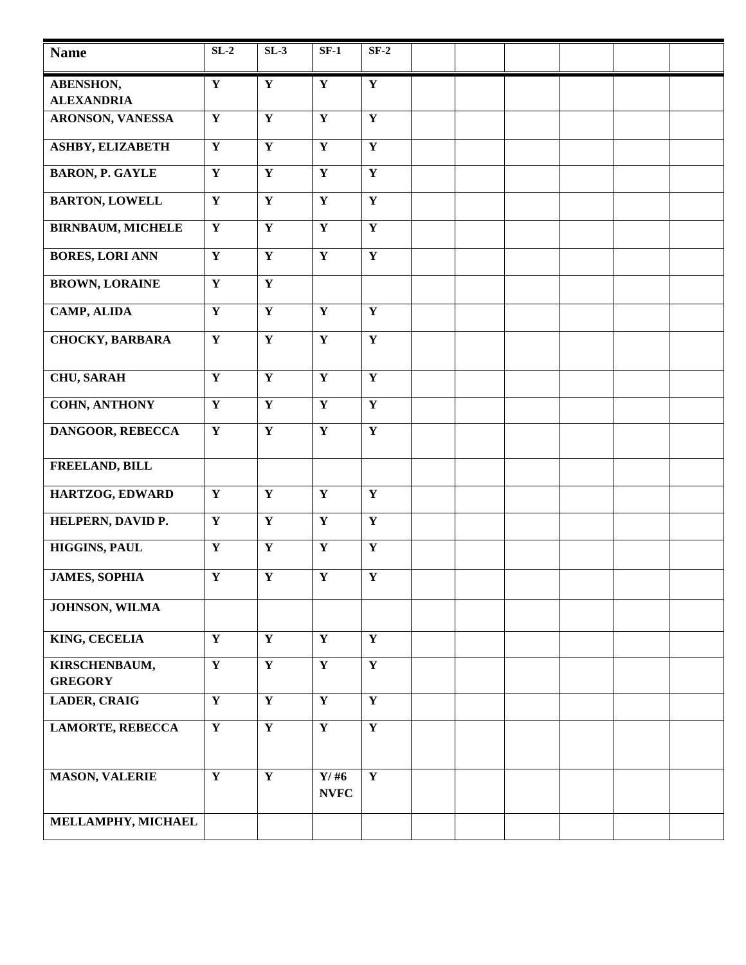| <b>Name</b>                     | $SL-2$                  | $SL-3$                  | $SF-1$                  | $SF-2$                  |  |  |  |
|---------------------------------|-------------------------|-------------------------|-------------------------|-------------------------|--|--|--|
| <b>ABENSHON,</b>                | $\mathbf Y$             | $\mathbf Y$             | $\mathbf Y$             | ${\bf Y}$               |  |  |  |
| <b>ALEXANDRIA</b>               |                         |                         |                         |                         |  |  |  |
| ARONSON, VANESSA                | $\overline{\mathbf{Y}}$ | $\overline{\mathbf{Y}}$ | $\overline{\mathbf{Y}}$ | $\overline{\mathbf{Y}}$ |  |  |  |
| <b>ASHBY, ELIZABETH</b>         | $\overline{\mathbf{Y}}$ | $\overline{\mathbf{Y}}$ | $\overline{\mathbf{Y}}$ | $\mathbf{Y}$            |  |  |  |
| <b>BARON, P. GAYLE</b>          | $\mathbf Y$             | $\mathbf Y$             | $\mathbf Y$             | $\mathbf Y$             |  |  |  |
| <b>BARTON, LOWELL</b>           | $\mathbf Y$             | $\mathbf Y$             | $\mathbf Y$             | $\mathbf Y$             |  |  |  |
| <b>BIRNBAUM, MICHELE</b>        | $\overline{\mathbf{Y}}$ | $\overline{\mathbf{Y}}$ | $\overline{\mathbf{Y}}$ | $\overline{\mathbf{Y}}$ |  |  |  |
| <b>BORES, LORI ANN</b>          | $\overline{\mathbf{Y}}$ | $\overline{\mathbf{Y}}$ | $\overline{\mathbf{Y}}$ | $\overline{\mathbf{Y}}$ |  |  |  |
| <b>BROWN, LORAINE</b>           | $\overline{\mathbf{Y}}$ | $\overline{\mathbf{Y}}$ |                         |                         |  |  |  |
| <b>CAMP, ALIDA</b>              | ${\bf Y}$               | $\mathbf Y$             | $\mathbf Y$             | $\mathbf Y$             |  |  |  |
| <b>CHOCKY, BARBARA</b>          | $\mathbf Y$             | $\overline{\mathbf{Y}}$ | $\overline{\mathbf{Y}}$ | $\overline{\mathbf{Y}}$ |  |  |  |
|                                 |                         |                         |                         |                         |  |  |  |
| <b>CHU, SARAH</b>               | $\mathbf Y$             | $\mathbf Y$             | $\mathbf Y$             | $\mathbf Y$             |  |  |  |
| <b>COHN, ANTHONY</b>            | $\mathbf Y$             | $\mathbf Y$             | $\mathbf Y$             | $\mathbf Y$             |  |  |  |
| <b>DANGOOR, REBECCA</b>         | $\overline{\mathbf{Y}}$ | $\overline{\mathbf{Y}}$ | $\overline{\mathbf{Y}}$ | $\overline{\mathbf{Y}}$ |  |  |  |
| FREELAND, BILL                  |                         |                         |                         |                         |  |  |  |
| HARTZOG, EDWARD                 | $\mathbf Y$             | $\mathbf Y$             | $\mathbf Y$             | $\mathbf Y$             |  |  |  |
| HELPERN, DAVID P.               | $\overline{\mathbf{Y}}$ | $\overline{\mathbf{Y}}$ | $\overline{\mathbf{Y}}$ | $\overline{\mathbf{Y}}$ |  |  |  |
| <b>HIGGINS, PAUL</b>            | $\overline{\mathbf{Y}}$ | $\overline{\mathbf{Y}}$ | $\overline{\mathbf{Y}}$ | $\mathbf Y$             |  |  |  |
| <b>JAMES, SOPHIA</b>            | $\mathbf Y$             | $\mathbf Y$             | $\mathbf Y$             | $\mathbf Y$             |  |  |  |
| <b>JOHNSON, WILMA</b>           |                         |                         |                         |                         |  |  |  |
| <b>KING, CECELIA</b>            | $\overline{\mathbf{Y}}$ | $\overline{\mathbf{Y}}$ | $\overline{\mathbf{Y}}$ | $\overline{\mathbf{Y}}$ |  |  |  |
| KIRSCHENBAUM,<br><b>GREGORY</b> | $\overline{\mathbf{Y}}$ | $\overline{\mathbf{Y}}$ | $\overline{\mathbf{Y}}$ | $\overline{\mathbf{Y}}$ |  |  |  |
| <b>LADER, CRAIG</b>             | $\mathbf{Y}$            | $\overline{\mathbf{Y}}$ | $\overline{\mathbf{Y}}$ | $\overline{\mathbf{Y}}$ |  |  |  |
| <b>LAMORTE, REBECCA</b>         | $\overline{\mathbf{Y}}$ | $\overline{\mathbf{Y}}$ | $\overline{\mathbf{Y}}$ | $\overline{\mathbf{Y}}$ |  |  |  |
|                                 |                         |                         |                         |                         |  |  |  |
| <b>MASON, VALERIE</b>           | $\overline{\mathbf{Y}}$ | $\overline{\mathbf{Y}}$ | $Y/$ #6<br><b>NVFC</b>  | $\overline{\mathbf{Y}}$ |  |  |  |
| MELLAMPHY, MICHAEL              |                         |                         |                         |                         |  |  |  |